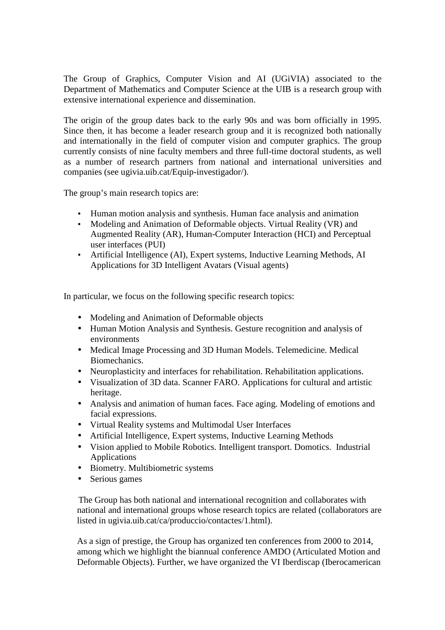The Group of Graphics, Computer Vision and AI (UGiVIA) associated to the Department of Mathematics and Computer Science at the UIB is a research group with extensive international experience and dissemination.

The origin of the group dates back to the early 90s and was born officially in 1995. Since then, it has become a leader research group and it is recognized both nationally and internationally in the field of computer vision and computer graphics. The group currently consists of nine faculty members and three full-time doctoral students, as well as a number of research partners from national and international universities and companies (see ugivia.uib.cat/Equip-investigador/).

The group's main research topics are:

- Human motion analysis and synthesis. Human face analysis and animation
- Modeling and Animation of Deformable objects. Virtual Reality (VR) and Augmented Reality (AR), Human-Computer Interaction (HCI) and Perceptual user interfaces (PUI)
- Artificial Intelligence (AI), Expert systems, Inductive Learning Methods, AI Applications for 3D Intelligent Avatars (Visual agents)

In particular, we focus on the following specific research topics:

- Modeling and Animation of Deformable objects
- Human Motion Analysis and Synthesis. Gesture recognition and analysis of environments
- Medical Image Processing and 3D Human Models. Telemedicine. Medical Biomechanics.
- Neuroplasticity and interfaces for rehabilitation. Rehabilitation applications.
- Visualization of 3D data. Scanner FARO. Applications for cultural and artistic heritage.
- Analysis and animation of human faces. Face aging. Modeling of emotions and facial expressions.
- Virtual Reality systems and Multimodal User Interfaces
- Artificial Intelligence, Expert systems, Inductive Learning Methods
- Vision applied to Mobile Robotics. Intelligent transport. Domotics. Industrial Applications
- Biometry. Multibiometric systems
- Serious games

The Group has both national and international recognition and collaborates with national and international groups whose research topics are related (collaborators are listed in ugivia.uib.cat/ca/produccio/contactes/1.html).

As a sign of prestige, the Group has organized ten conferences from 2000 to 2014, among which we highlight the biannual conference AMDO (Articulated Motion and Deformable Objects). Further, we have organized the VI Iberdiscap (Iberocamerican